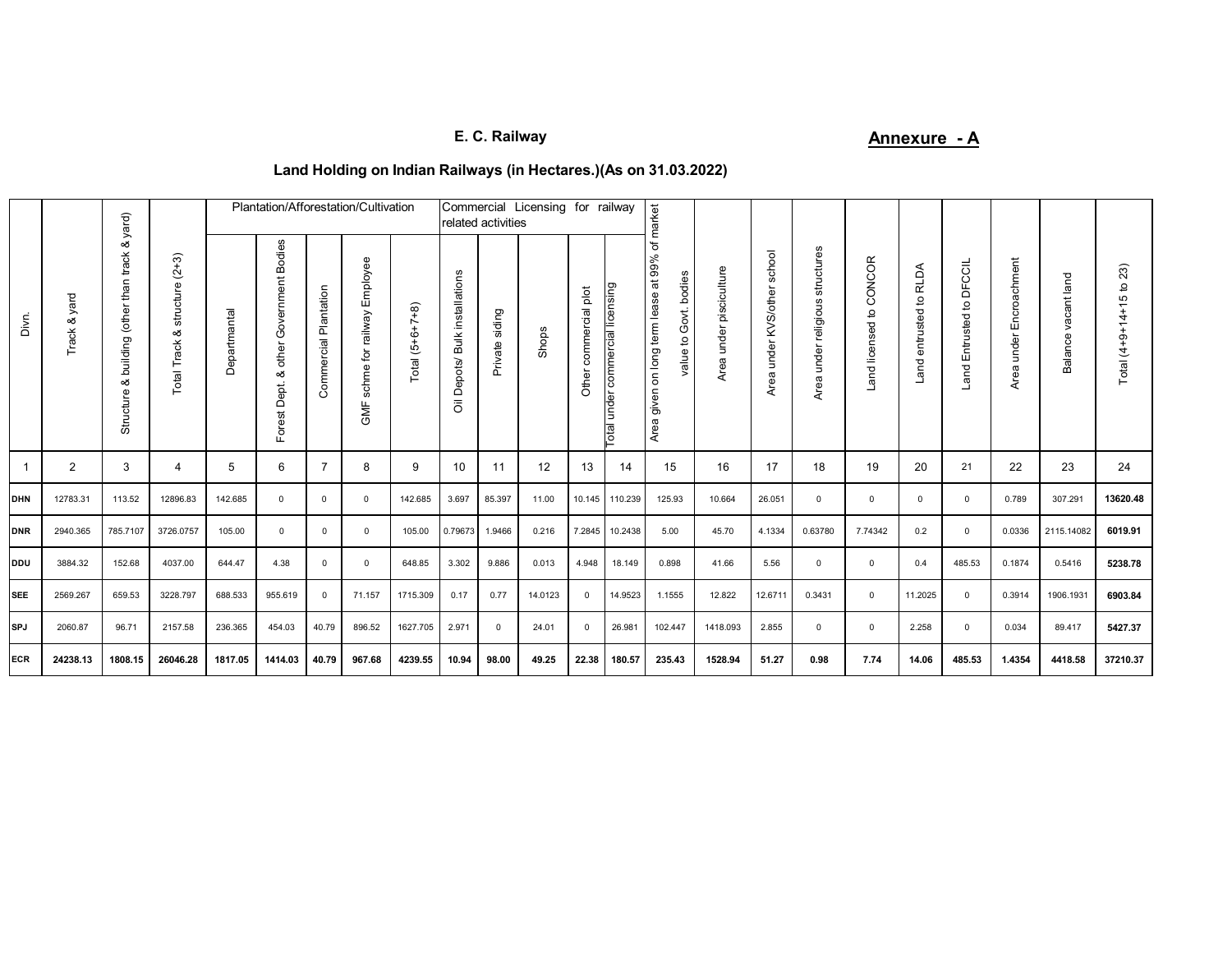# **E. C. Railway Annexure - A**

## **Land Holding on Indian Railways (in Hectares.)(As on 31.03.2022)**

|            |                    | yard)                                                   | $(2+3)$<br>structure<br>ంర<br>ack<br>Total | Plantation/Afforestation/Cultivation<br>Commercial Licensing for railway<br>related activities |                                                 |                              |                                          |                      |                                                                      |                |         | market                   |                                     |                                                                          |                            |                                |                                          |                            |                                    |                                                    |                            |                           |                                                  |
|------------|--------------------|---------------------------------------------------------|--------------------------------------------|------------------------------------------------------------------------------------------------|-------------------------------------------------|------------------------------|------------------------------------------|----------------------|----------------------------------------------------------------------|----------------|---------|--------------------------|-------------------------------------|--------------------------------------------------------------------------|----------------------------|--------------------------------|------------------------------------------|----------------------------|------------------------------------|----------------------------------------------------|----------------------------|---------------------------|--------------------------------------------------|
| Divri.     | yard<br>ఱ<br>Track | ఱ<br>track<br>than<br>building (other<br>య<br>Structure |                                            | Departmantal                                                                                   | Government Bodies<br>other<br>య<br>Forest Dept. | Plantation<br>ommercial<br>Ō | schme for railway Employee<br><b>SME</b> | $(5+6+7+8)$<br>Total | installations<br><b>Bulk</b><br>Depots/<br>$\overline{\overline{0}}$ | Private siding | Shops   | commercial plot<br>Other | under commercial licensing<br>lepo. | ৳<br>on long term lease at 99%<br>value to Govt. bodies<br>given<br>Area | under pisciculture<br>Area | school<br>Area under KVS/other | structures<br>religious<br>under<br>Area | CONCOR<br>Land licensed to | <b>RLDA</b><br>entrusted to<br>and | <b>DFCCIL</b><br>$\mathsf{a}$<br>Entrusted<br>Land | Encroachment<br>Area under | land<br>vacant<br>Balance | 23)<br>ō<br>45<br>$\frac{4}{4}$<br>Total $(4+9+$ |
|            | $\overline{2}$     | 3                                                       | 4                                          | 5                                                                                              | 6                                               | $\overline{7}$               | 8                                        | 9                    | 10                                                                   | 11             | 12      | 13                       | 14                                  | 15                                                                       | 16                         | 17                             | 18                                       | 19                         | 20                                 | 21                                                 | 22                         | 23                        | 24                                               |
| <b>DHN</b> | 12783.31           | 113.52                                                  | 12896.83                                   | 142.685                                                                                        | $\mathbf{0}$                                    | $\mathbf 0$                  | $^{\circ}$                               | 142.685              | 3.697                                                                | 85.397         | 11.00   | 10.145                   | 110.239                             | 125.93                                                                   | 10.664                     | 26.051                         | $\mathbf{0}$                             | $\mathbf 0$                | $\mathbf{0}$                       | $^{\circ}$                                         | 0.789                      | 307.291                   | 13620.48                                         |
| <b>DNR</b> | 2940.365           | 785.7107                                                | 3726.0757                                  | 105.00                                                                                         | $\mathbf{0}$                                    | $^{\circ}$                   | $^{\circ}$                               | 105.00               | 0.79673                                                              | 1.9466         | 0.216   | 7.2845                   | 10.2438                             | 5.00                                                                     | 45.70                      | 4.1334                         | 0.63780                                  | 7.74342                    | 0.2                                | $^{\circ}$                                         | 0.0336                     | 2115.14082                | 6019.91                                          |
| <b>DDU</b> | 3884.32            | 152.68                                                  | 4037.00                                    | 644.47                                                                                         | 4.38                                            | $\mathbf{0}$                 | $\Omega$                                 | 648.85               | 3.302                                                                | 9.886          | 0.013   | 4.948                    | 18.149                              | 0.898                                                                    | 41.66                      | 5.56                           | $\mathbf{0}$                             | $\mathbf 0$                | 0.4                                | 485.53                                             | 0.1874                     | 0.5416                    | 5238.78                                          |
| <b>SEE</b> | 2569.267           | 659.53                                                  | 3228.797                                   | 688.533                                                                                        | 955.619                                         | $^{\circ}$                   | 71.157                                   | 1715.309             | 0.17                                                                 | 0.77           | 14.0123 | $^{\circ}$               | 14.9523                             | 1.1555                                                                   | 12.822                     | 12.6711                        | 0.3431                                   | $\mathbf 0$                | 11.2025                            | $\mathbf{0}$                                       | 0.3914                     | 1906.1931                 | 6903.84                                          |
| <b>SPJ</b> | 2060.87            | 96.71                                                   | 2157.58                                    | 236.365                                                                                        | 454.03                                          | 40.79                        | 896.52                                   | 1627.705             | 2.971                                                                | $\mathbf{0}$   | 24.01   | $\mathbf{0}$             | 26.981                              | 102.447                                                                  | 1418.093                   | 2.855                          | $\Omega$                                 | $\mathbf 0$                | 2.258                              | $\Omega$                                           | 0.034                      | 89.417                    | 5427.37                                          |
| <b>ECR</b> | 24238.13           | 1808.15                                                 | 26046.28                                   | 1817.05                                                                                        | 1414.03                                         | 40.79                        | 967.68                                   | 4239.55              | 10.94                                                                | 98.00          | 49.25   | 22.38                    | 180.57                              | 235.43                                                                   | 1528.94                    | 51.27                          | 0.98                                     | 7.74                       | 14.06                              | 485.53                                             | 1.4354                     | 4418.58                   | 37210.37                                         |